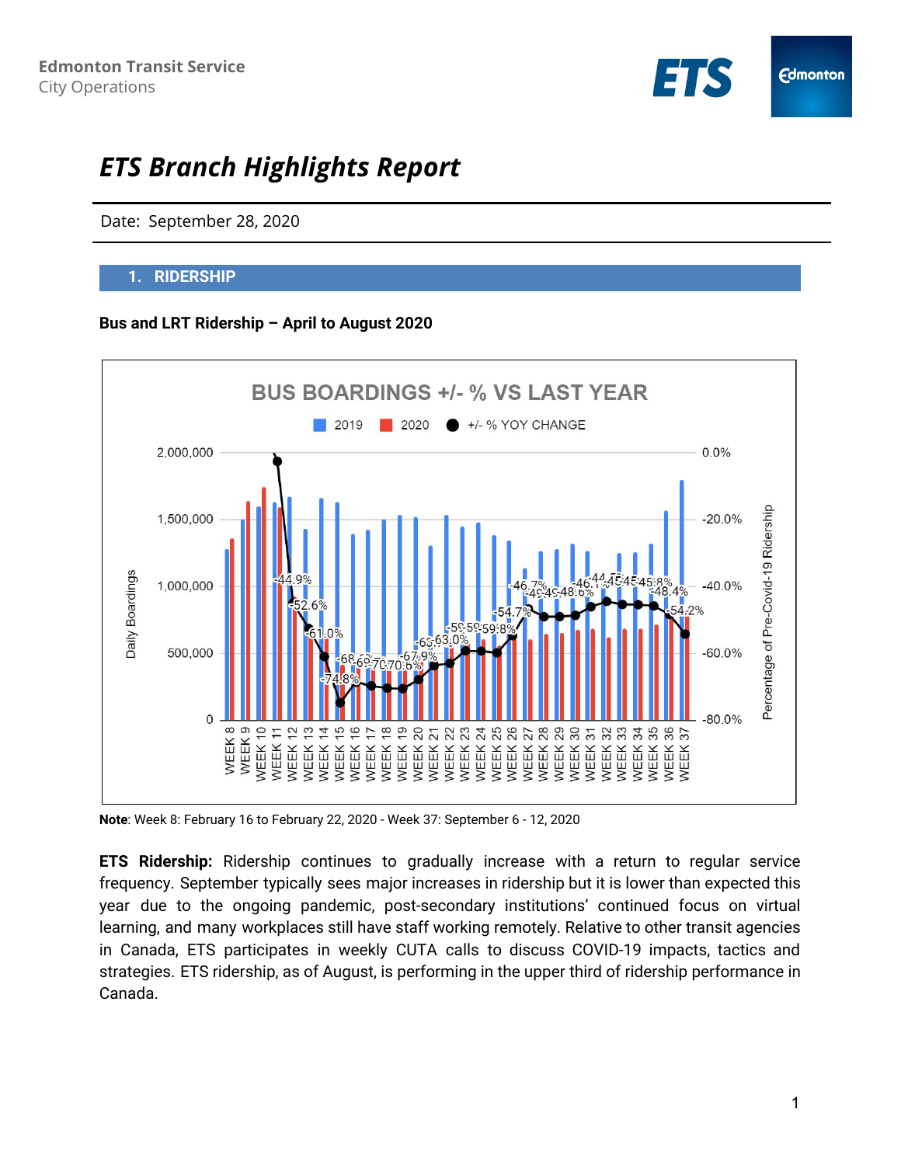

# *ETS Branch Highlights Report*

Date: September 28, 2020

### **1. RIDERSHIP**

#### **Bus and LRT Ridership – April to August 2020**



**Note**: Week 8: February 16 to February 22, 2020 - Week 37: September 6 - 12, 2020

**ETS Ridership:** Ridership continues to gradually increase with a return to regular service frequency. September typically sees major increases in ridership but it is lower than expected this year due to the ongoing pandemic, post-secondary institutions' continued focus on virtual learning, and many workplaces still have staff working remotely. Relative to other transit agencies in Canada, ETS participates in weekly CUTA calls to discuss COVID-19 impacts, tactics and strategies. ETS ridership, as of August, is performing in the upper third of ridership performance in Canada.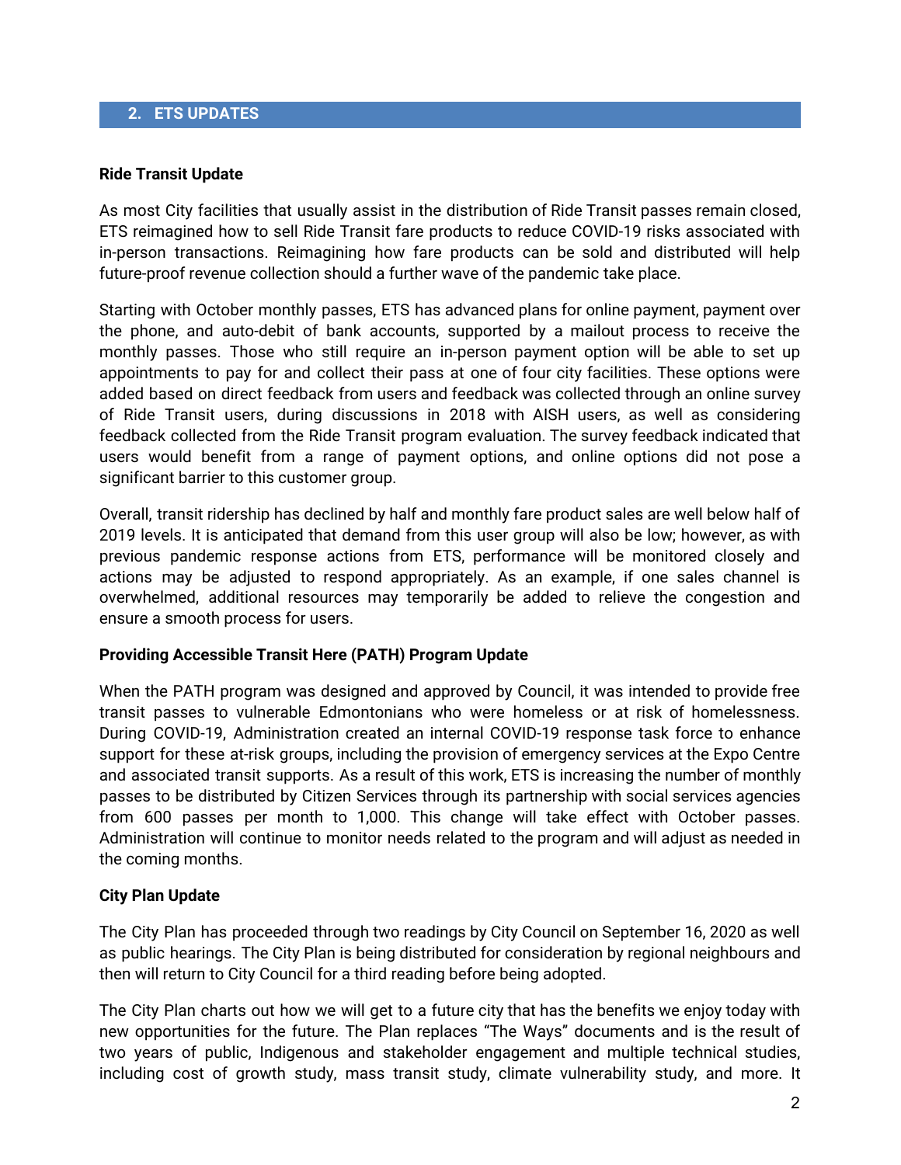### **2. ETS UPDATES**

#### **Ride Transit Update**

As most City facilities that usually assist in the distribution of Ride Transit passes remain closed, ETS reimagined how to sell Ride Transit fare products to reduce COVID-19 risks associated with in-person transactions. Reimagining how fare products can be sold and distributed will help future-proof revenue collection should a further wave of the pandemic take place.

Starting with October monthly passes, ETS has advanced plans for online payment, payment over the phone, and auto-debit of bank accounts, supported by a mailout process to receive the monthly passes. Those who still require an in-person payment option will be able to set up appointments to pay for and collect their pass at one of four city facilities. These options were added based on direct feedback from users and feedback was collected through an online survey of Ride Transit users, during discussions in 2018 with AISH users, as well as considering feedback collected from the Ride Transit program evaluation. The survey feedback indicated that users would benefit from a range of payment options, and online options did not pose a significant barrier to this customer group.

Overall, transit ridership has declined by half and monthly fare product sales are well below half of 2019 levels. It is anticipated that demand from this user group will also be low; however, as with previous pandemic response actions from ETS, performance will be monitored closely and actions may be adjusted to respond appropriately. As an example, if one sales channel is overwhelmed, additional resources may temporarily be added to relieve the congestion and ensure a smooth process for users.

#### **Providing Accessible Transit Here (PATH) Program Update**

When the PATH program was designed and approved by Council, it was intended to provide free transit passes to vulnerable Edmontonians who were homeless or at risk of homelessness. During COVID-19, Administration created an internal COVID-19 response task force to enhance support for these at-risk groups, including the provision of emergency services at the Expo Centre and associated transit supports. As a result of this work, ETS is increasing the number of monthly passes to be distributed by Citizen Services through its partnership with social services agencies from 600 passes per month to 1,000. This change will take effect with October passes. Administration will continue to monitor needs related to the program and will adjust as needed in the coming months.

#### **City Plan Update**

The City Plan has proceeded through two readings by City Council on September 16, 2020 as well as public hearings. The City Plan is being distributed for consideration by regional neighbours and then will return to City Council for a third reading before being adopted.

The City Plan charts out how we will get to a future city that has the benefits we enjoy today with new opportunities for the future. The Plan replaces "The Ways" documents and is the result of two years of public, Indigenous and stakeholder engagement and multiple technical studies, including cost of growth study, mass transit study, climate vulnerability study, and more. It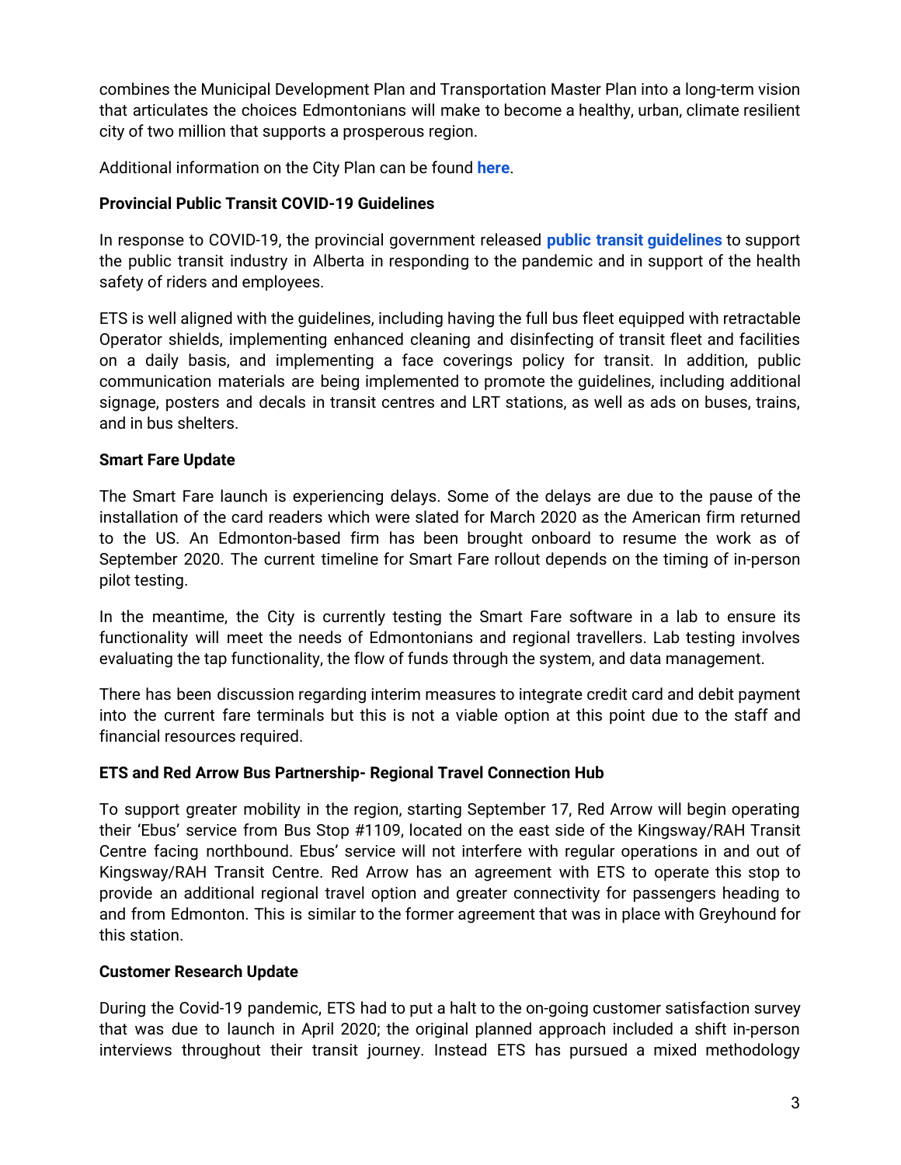combines the Municipal Development Plan and Transportation Master Plan into a long-term vision that articulates the choices Edmontonians will make to become a healthy, urban, climate resilient city of two million that supports a prosperous region.

Additional information on the City Plan can be found **[here](https://www.edmonton.ca/city_government/city_vision_and_strategic_plan/city-plan.aspx)**.

# **Provincial Public Transit COVID-19 Guidelines**

In response to COVID-19, the provincial government released **public transit [guidelines](https://www.alberta.ca/assets/documents/covid-19-relaunch-guidance-public-transit.pdf)** to support the public transit industry in Alberta in responding to the pandemic and in support of the health safety of riders and employees.

ETS is well aligned with the guidelines, including having the full bus fleet equipped with retractable Operator shields, implementing enhanced cleaning and disinfecting of transit fleet and facilities on a daily basis, and implementing a face coverings policy for transit. In addition, public communication materials are being implemented to promote the guidelines, including additional signage, posters and decals in transit centres and LRT stations, as well as ads on buses, trains, and in bus shelters.

# **Smart Fare Update**

The Smart Fare launch is experiencing delays. Some of the delays are due to the pause of the installation of the card readers which were slated for March 2020 as the American firm returned to the US. An Edmonton-based firm has been brought onboard to resume the work as of September 2020. The current timeline for Smart Fare rollout depends on the timing of in-person pilot testing.

In the meantime, the City is currently testing the Smart Fare software in a lab to ensure its functionality will meet the needs of Edmontonians and regional travellers. Lab testing involves evaluating the tap functionality, the flow of funds through the system, and data management.

There has been discussion regarding interim measures to integrate credit card and debit payment into the current fare terminals but this is not a viable option at this point due to the staff and financial resources required.

## **ETS and Red Arrow Bus Partnership- Regional Travel Connection Hub**

To support greater mobility in the region, starting September 17, Red Arrow will begin operating their 'Ebus' service from Bus Stop #1109, located on the east side of the Kingsway/RAH Transit Centre facing northbound. Ebus' service will not interfere with regular operations in and out of Kingsway/RAH Transit Centre. Red Arrow has an agreement with ETS to operate this stop to provide an additional regional travel option and greater connectivity for passengers heading to and from Edmonton. This is similar to the former agreement that was in place with Greyhound for this station.

# **Customer Research Update**

During the Covid-19 pandemic, ETS had to put a halt to the on-going customer satisfaction survey that was due to launch in April 2020; the original planned approach included a shift in-person interviews throughout their transit journey. Instead ETS has pursued a mixed methodology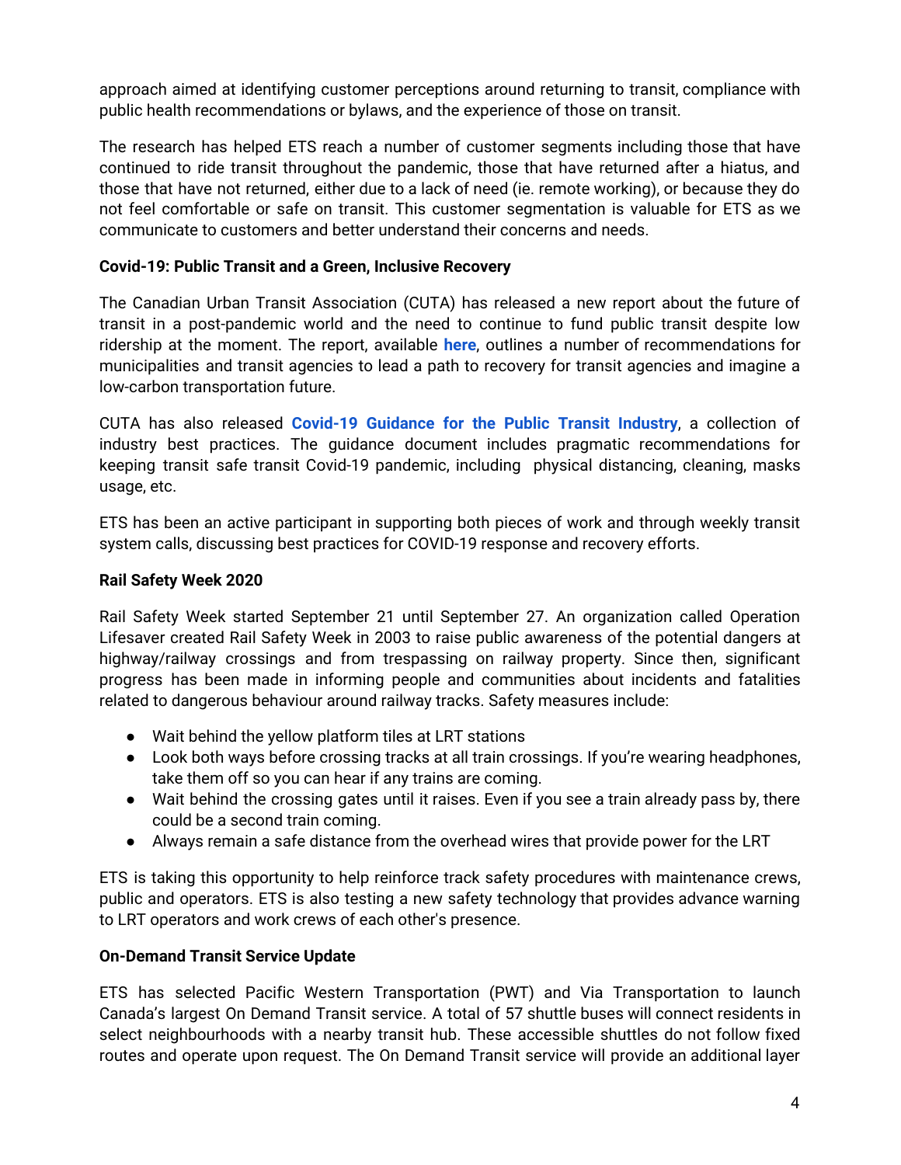approach aimed at identifying customer perceptions around returning to transit, compliance with public health recommendations or bylaws, and the experience of those on transit.

The research has helped ETS reach a number of customer segments including those that have continued to ride transit throughout the pandemic, those that have returned after a hiatus, and those that have not returned, either due to a lack of need (ie. remote working), or because they do not feel comfortable or safe on transit. This customer segmentation is valuable for ETS as we communicate to customers and better understand their concerns and needs.

# **Covid-19: Public Transit and a Green, Inclusive Recovery**

The Canadian Urban Transit Association (CUTA) has released a new report about the future of transit in a post-pandemic world and the need to continue to fund public transit despite low ridership at the moment. The report, available **[here](https://cutaactu.ca/sites/default/files/public_transit_and_a_green_inclusive_recovery_report.pdf)**, outlines a number of recommendations for municipalities and transit agencies to lead a path to recovery for transit agencies and imagine a low-carbon transportation future.

CUTA has also released **Covid-19 [Guidance](https://cutaactu.ca/en/covid-19) for the Public Transit Industry**, a collection of industry best practices. The guidance document includes pragmatic recommendations for keeping transit safe transit Covid-19 pandemic, including physical distancing, cleaning, masks usage, etc.

ETS has been an active participant in supporting both pieces of work and through weekly transit system calls, discussing best practices for COVID-19 response and recovery efforts.

# **Rail Safety Week 2020**

Rail Safety Week started September 21 until September 27. An organization called Operation Lifesaver created Rail Safety Week in 2003 to raise public awareness of the potential dangers at highway/railway crossings and from trespassing on railway property. Since then, significant progress has been made in informing people and communities about incidents and fatalities related to dangerous behaviour around railway tracks. Safety measures include:

- Wait behind the yellow platform tiles at LRT stations
- Look both ways before crossing tracks at all train crossings. If you're wearing headphones, take them off so you can hear if any trains are coming.
- Wait behind the crossing gates until it raises. Even if you see a train already pass by, there could be a second train coming.
- Always remain a safe distance from the overhead wires that provide power for the LRT

ETS is taking this opportunity to help reinforce track safety procedures with maintenance crews, public and operators. ETS is also testing a new safety technology that provides advance warning to LRT operators and work crews of each other's presence.

## **On-Demand Transit Service Update**

ETS has selected Pacific Western Transportation (PWT) and Via Transportation to launch Canada's largest On Demand Transit service. A total of 57 shuttle buses will connect residents in select neighbourhoods with a nearby transit hub. These accessible shuttles do not follow fixed routes and operate upon request. The On Demand Transit service will provide an additional layer